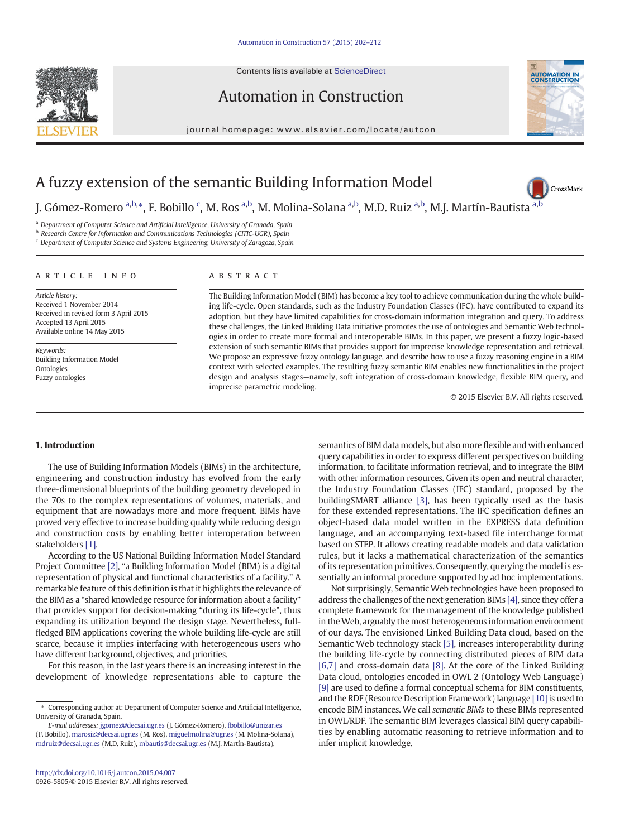Contents lists available at ScienceDirect





journal homepage:<www.elsevier.com/locate/autcon>



CrossMark

## A fuzzy extension of the semantic Building Information Model

J. Gómez-Romero <sup>[a,b](http://crossmark.crossref.org/dialog/?doi=10.1016/j.autcon.2015.04.007&domain=pdf),</sup>\*, F. Bobillo <sup>c</sup>, M. Ros <sup>a,b</sup>, M. Molina-Solana <sup>a,b</sup>, M.D. Ruiz <sup>a,b</sup>, M.J. Martín-Bautista <sup>a,b</sup>

<sup>a</sup> Department of Computer Science and Artificial Intelligence, University of Granada, Spain

**b** Research Centre for Information and Communications Technologies (CITIC-UGR), Spain

<sup>c</sup> Department of Computer Science and Systems Engineering, University of Zaragoza, Spain

### article info abstract

Article history: Received 1 November 2014 Received in revised form 3 April 2015 Accepted 13 April 2015 Available online 14 May 2015

Keywords: Building Information Model Ontologies Fuzzy ontologies

The Building Information Model (BIM) has become a key tool to achieve communication during the whole building life-cycle. Open standards, such as the Industry Foundation Classes (IFC), have contributed to expand its adoption, but they have limited capabilities for cross-domain information integration and query. To address these challenges, the Linked Building Data initiative promotes the use of ontologies and Semantic Web technologies in order to create more formal and interoperable BIMs. In this paper, we present a fuzzy logic-based extension of such semantic BIMs that provides support for imprecise knowledge representation and retrieval. We propose an expressive fuzzy ontology language, and describe how to use a fuzzy reasoning engine in a BIM context with selected examples. The resulting fuzzy semantic BIM enables new functionalities in the project design and analysis stages—namely, soft integration of cross-domain knowledge, flexible BIM query, and imprecise parametric modeling.

© 2015 Elsevier B.V. All rights reserved.

#### 1. Introduction

The use of Building Information Models (BIMs) in the architecture, engineering and construction industry has evolved from the early three-dimensional blueprints of the building geometry developed in the 70s to the complex representations of volumes, materials, and equipment that are nowadays more and more frequent. BIMs have proved very effective to increase building quality while reducing design and construction costs by enabling better interoperation between stakeholders [\[1\].](#page--1-0)

According to the US National Building Information Model Standard Project Committee [\[2\],](#page--1-0) "a Building Information Model (BIM) is a digital representation of physical and functional characteristics of a facility." A remarkable feature of this definition is that it highlights the relevance of the BIM as a "shared knowledge resource for information about a facility" that provides support for decision-making "during its life-cycle", thus expanding its utilization beyond the design stage. Nevertheless, fullfledged BIM applications covering the whole building life-cycle are still scarce, because it implies interfacing with heterogeneous users who have different background, objectives, and priorities.

For this reason, in the last years there is an increasing interest in the development of knowledge representations able to capture the

E-mail addresses: [jgomez@decsai.ugr.es](mailto:jgomez@decsai.ugr.es) (J. Gómez-Romero), [fbobillo@unizar.es](mailto:fbobillo@unizar.es) (F. Bobillo), [marosiz@decsai.ugr.es](mailto:marosiz@decsai.ugr.es) (M. Ros), [miguelmolina@ugr.es](mailto:miguelmolina@ugr.es) (M. Molina-Solana), [mdruiz@decsai.ugr.es](mailto:mdruiz@decsai.ugr.es) (M.D. Ruiz), [mbautis@decsai.ugr.es](mailto:mbautis@decsai.ugr.es) (M.J. Martín-Bautista).

semantics of BIM data models, but also more flexible and with enhanced query capabilities in order to express different perspectives on building information, to facilitate information retrieval, and to integrate the BIM with other information resources. Given its open and neutral character, the Industry Foundation Classes (IFC) standard, proposed by the buildingSMART alliance [\[3\]](#page--1-0), has been typically used as the basis for these extended representations. The IFC specification defines an object-based data model written in the EXPRESS data definition language, and an accompanying text-based file interchange format based on STEP. It allows creating readable models and data validation rules, but it lacks a mathematical characterization of the semantics of its representation primitives. Consequently, querying the model is essentially an informal procedure supported by ad hoc implementations.

Not surprisingly, Semantic Web technologies have been proposed to address the challenges of the next generation BIMs [\[4\]](#page--1-0), since they offer a complete framework for the management of the knowledge published in the Web, arguably the most heterogeneous information environment of our days. The envisioned Linked Building Data cloud, based on the Semantic Web technology stack [\[5\]](#page--1-0), increases interoperability during the building life-cycle by connecting distributed pieces of BIM data [\[6,7\]](#page--1-0) and cross-domain data [\[8\]](#page--1-0). At the core of the Linked Building Data cloud, ontologies encoded in OWL 2 (Ontology Web Language) [\[9\]](#page--1-0) are used to define a formal conceptual schema for BIM constituents, and the RDF (Resource Description Framework) language [\[10\]](#page--1-0) is used to encode BIM instances. We call semantic BIMs to these BIMs represented in OWL/RDF. The semantic BIM leverages classical BIM query capabilities by enabling automatic reasoning to retrieve information and to infer implicit knowledge.

<sup>⁎</sup> Corresponding author at: Department of Computer Science and Artificial Intelligence, University of Granada, Spain.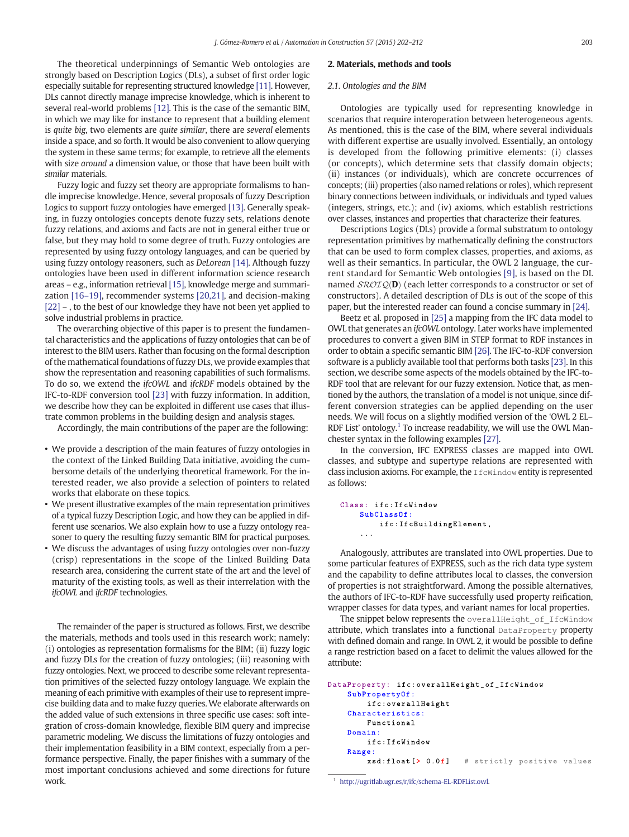The theoretical underpinnings of Semantic Web ontologies are strongly based on Description Logics (DLs), a subset of first order logic especially suitable for representing structured knowledge [\[11\].](#page--1-0) However, DLs cannot directly manage imprecise knowledge, which is inherent to several real-world problems [\[12\]](#page--1-0). This is the case of the semantic BIM, in which we may like for instance to represent that a building element is quite big, two elements are quite similar, there are several elements inside a space, and so forth. It would be also convenient to allow querying the system in these same terms; for example, to retrieve all the elements with size around a dimension value, or those that have been built with similar materials.

Fuzzy logic and fuzzy set theory are appropriate formalisms to handle imprecise knowledge. Hence, several proposals of fuzzy Description Logics to support fuzzy ontologies have emerged [\[13\]](#page--1-0). Generally speaking, in fuzzy ontologies concepts denote fuzzy sets, relations denote fuzzy relations, and axioms and facts are not in general either true or false, but they may hold to some degree of truth. Fuzzy ontologies are represented by using fuzzy ontology languages, and can be queried by using fuzzy ontology reasoners, such as DeLorean [\[14\]](#page--1-0). Although fuzzy ontologies have been used in different information science research areas – e.g., information retrieval [\[15\]](#page--1-0), knowledge merge and summarization [16–[19\]](#page--1-0), recommender systems [\[20,21\]](#page--1-0), and decision-making [\[22\]](#page--1-0) –, to the best of our knowledge they have not been yet applied to solve industrial problems in practice.

The overarching objective of this paper is to present the fundamental characteristics and the applications of fuzzy ontologies that can be of interest to the BIM users. Rather than focusing on the formal description of the mathematical foundations of fuzzy DLs, we provide examples that show the representation and reasoning capabilities of such formalisms. To do so, we extend the ifcOWL and ifcRDF models obtained by the IFC-to-RDF conversion tool [\[23\]](#page--1-0) with fuzzy information. In addition, we describe how they can be exploited in different use cases that illustrate common problems in the building design and analysis stages.

Accordingly, the main contributions of the paper are the following:

- We provide a description of the main features of fuzzy ontologies in the context of the Linked Building Data initiative, avoiding the cumbersome details of the underlying theoretical framework. For the interested reader, we also provide a selection of pointers to related works that elaborate on these topics.
- We present illustrative examples of the main representation primitives of a typical fuzzy Description Logic, and how they can be applied in different use scenarios. We also explain how to use a fuzzy ontology reasoner to query the resulting fuzzy semantic BIM for practical purposes.
- We discuss the advantages of using fuzzy ontologies over non-fuzzy (crisp) representations in the scope of the Linked Building Data research area, considering the current state of the art and the level of maturity of the existing tools, as well as their interrelation with the ifcOWL and ifcRDF technologies.

The remainder of the paper is structured as follows. First, we describe the materials, methods and tools used in this research work; namely: (i) ontologies as representation formalisms for the BIM; (ii) fuzzy logic and fuzzy DLs for the creation of fuzzy ontologies; (iii) reasoning with fuzzy ontologies. Next, we proceed to describe some relevant representation primitives of the selected fuzzy ontology language. We explain the meaning of each primitive with examples of their use to represent imprecise building data and to make fuzzy queries. We elaborate afterwards on the added value of such extensions in three specific use cases: soft integration of cross-domain knowledge, flexible BIM query and imprecise parametric modeling. We discuss the limitations of fuzzy ontologies and their implementation feasibility in a BIM context, especially from a performance perspective. Finally, the paper finishes with a summary of the most important conclusions achieved and some directions for future work.

#### 2. Materials, methods and tools

#### 2.1. Ontologies and the BIM

Ontologies are typically used for representing knowledge in scenarios that require interoperation between heterogeneous agents. As mentioned, this is the case of the BIM, where several individuals with different expertise are usually involved. Essentially, an ontology is developed from the following primitive elements: (i) classes (or concepts), which determine sets that classify domain objects; (ii) instances (or individuals), which are concrete occurrences of concepts; (iii) properties (also named relations or roles), which represent binary connections between individuals, or individuals and typed values (integers, strings, etc.); and (iv) axioms, which establish restrictions over classes, instances and properties that characterize their features.

Descriptions Logics (DLs) provide a formal substratum to ontology representation primitives by mathematically defining the constructors that can be used to form complex classes, properties, and axioms, as well as their semantics. In particular, the OWL 2 language, the current standard for Semantic Web ontologies [\[9\],](#page--1-0) is based on the DL named  $\mathcal{SROTQ}(\mathbf{D})$  (each letter corresponds to a constructor or set of constructors). A detailed description of DLs is out of the scope of this paper, but the interested reader can found a concise summary in [\[24\].](#page--1-0)

Beetz et al. proposed in [\[25\]](#page--1-0) a mapping from the IFC data model to OWL that generates an ifcOWL ontology. Later works have implemented procedures to convert a given BIM in STEP format to RDF instances in order to obtain a specific semantic BIM [\[26\].](#page--1-0) The IFC-to-RDF conversion software is a publicly available tool that performs both tasks [\[23\]](#page--1-0). In this section, we describe some aspects of the models obtained by the IFC-to-RDF tool that are relevant for our fuzzy extension. Notice that, as mentioned by the authors, the translation of a model is not unique, since different conversion strategies can be applied depending on the user needs. We will focus on a slightly modified version of the 'OWL 2 EL– RDF List' ontology. $1$  To increase readability, we will use the OWL Manchester syntax in the following examples [\[27\]](#page--1-0).

In the conversion, IFC EXPRESS classes are mapped into OWL classes, and subtype and supertype relations are represented with class inclusion axioms. For example, the  $IfcWi$ ndow entity is represented as follows:

```
Class: ifc: IfcWindow
SubClassOf:ifc:IfcBuildingElement,
```
Analogously, attributes are translated into OWL properties. Due to some particular features of EXPRESS, such as the rich data type system and the capability to define attributes local to classes, the conversion of properties is not straightforward. Among the possible alternatives, the authors of IFC-to-RDF have successfully used property reification, wrapper classes for data types, and variant names for local properties.

The snippet below represents the overall Height of IfcWindow attribute, which translates into a functional DataProperty property with defined domain and range. In OWL 2, it would be possible to define a range restriction based on a facet to delimit the values allowed for the attribute:

```
DataProperty: ifc:overallHeight_of_IfcWindow
SubPropertyOf:
    ifc:overallHeight
Characteristics:
    Functional
Domain:
    ifc:IfcWindow
Range:
    xsd:float[> 0.0f]# strictly positive values
```
<sup>1</sup> <http://ugritlab.ugr.es/r/ifc/schema-EL-RDFList.owl>.